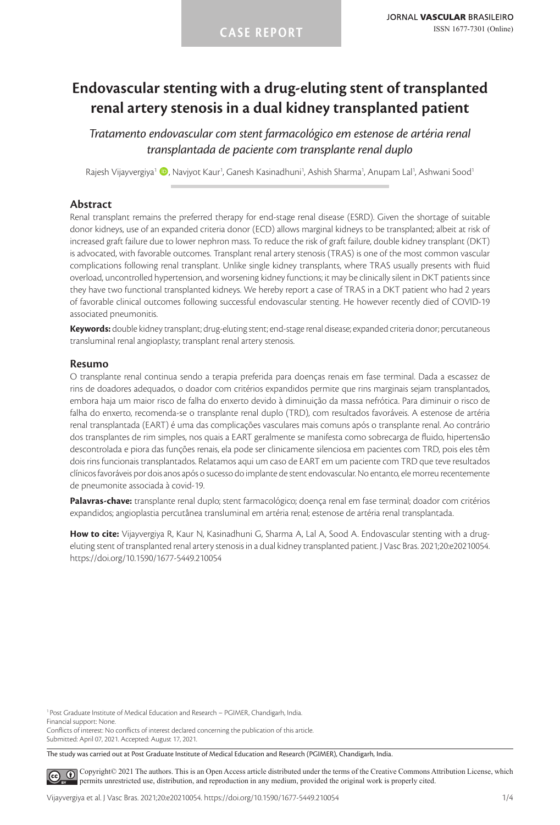# **Endovascular stenting with a drug-eluting stent of transplanted renal artery stenosis in a dual kidney transplanted patient**

*Tratamento endovascular com stent farmacológico em estenose de artéria renal transplantada de paciente com transplante renal duplo*

Rajesh Vijayvergiya<sup>1</sup> <mark>©</mark>, Navjyot Kaur<sup>1</sup>, Ganesh Kasinadhuni<sup>1</sup>, Ashish Sharma<sup>1</sup>, Anupam Lal<sup>1</sup>, Ashwani Sood<sup>1</sup>

# **Abstract**

Renal transplant remains the preferred therapy for end-stage renal disease (ESRD). Given the shortage of suitable donor kidneys, use of an expanded criteria donor (ECD) allows marginal kidneys to be transplanted; albeit at risk of increased graft failure due to lower nephron mass. To reduce the risk of graft failure, double kidney transplant (DKT) is advocated, with favorable outcomes. Transplant renal artery stenosis (TRAS) is one of the most common vascular complications following renal transplant. Unlike single kidney transplants, where TRAS usually presents with fluid overload, uncontrolled hypertension, and worsening kidney functions; it may be clinically silent in DKT patients since they have two functional transplanted kidneys. We hereby report a case of TRAS in a DKT patient who had 2 years of favorable clinical outcomes following successful endovascular stenting. He however recently died of COVID-19 associated pneumonitis.

**Keywords:** double kidney transplant; drug-eluting stent; end-stage renal disease; expanded criteria donor; percutaneous transluminal renal angioplasty; transplant renal artery stenosis.

# **Resumo**

O transplante renal continua sendo a terapia preferida para doenças renais em fase terminal. Dada a escassez de rins de doadores adequados, o doador com critérios expandidos permite que rins marginais sejam transplantados, embora haja um maior risco de falha do enxerto devido à diminuição da massa nefrótica. Para diminuir o risco de falha do enxerto, recomenda-se o transplante renal duplo (TRD), com resultados favoráveis. A estenose de artéria renal transplantada (EART) é uma das complicações vasculares mais comuns após o transplante renal. Ao contrário dos transplantes de rim simples, nos quais a EART geralmente se manifesta como sobrecarga de fluido, hipertensão descontrolada e piora das funções renais, ela pode ser clinicamente silenciosa em pacientes com TRD, pois eles têm dois rins funcionais transplantados. Relatamos aqui um caso de EART em um paciente com TRD que teve resultados clínicos favoráveis por dois anos após o sucesso do implante de stent endovascular. No entanto, ele morreu recentemente de pneumonite associada à covid-19.

**Palavras-chave:** transplante renal duplo; stent farmacológico; doença renal em fase terminal; doador com critérios expandidos; angioplastia percutânea transluminal em artéria renal; estenose de artéria renal transplantada.

**How to cite:** Vijayvergiya R, Kaur N, Kasinadhuni G, Sharma A, Lal A, Sood A. Endovascular stenting with a drugeluting stent of transplanted renal artery stenosis in a dual kidney transplanted patient. J Vasc Bras. 2021;20:e20210054. https://doi.org/10.1590/1677-5449.210054

<sup>1</sup> Post Graduate Institute of Medical Education and Research – PGIMER, Chandigarh, India. Financial support: None.

Conflicts of interest: No conflicts of interest declared concerning the publication of this article. Submitted: April 07, 2021. Accepted: August 17, 2021.

The study was carried out at Post Graduate Institute of Medical Education and Research (PGIMER), Chandigarh, India.

[C](https://creativecommons.org/licenses/by/4.0/)opyright© 2021 The authors. This is an Open Access article distributed under the terms of the Creative Commons Attribution License, which  $\left( \mathbf{c}\right)$ permits unrestricted use, distribution, and reproduction in any medium, provided the original work is properly cited.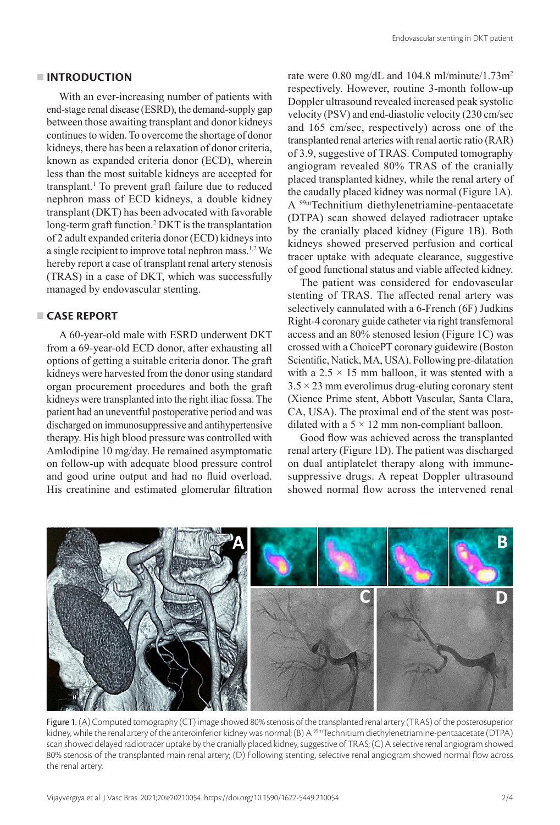# **INTRODUCTION**

With an ever-increasing number of patients with end-stage renal disease (ESRD), the demand-supply gap between those awaiting transplant and donor kidneys continues to widen. To overcome the shortage of donor kidneys, there has been a relaxation of donor criteria, known as expanded criteria donor (ECD), wherein less than the most suitable kidneys are accepted for transplant.1 To prevent graft failure due to reduced nephron mass of ECD kidneys, a double kidney transplant (DKT) has been advocated with favorable long-term graft function.<sup>2</sup> DKT is the transplantation of 2 adult expanded criteria donor (ECD) kidneys into a single recipient to improve total nephron mass.<sup>1,2</sup> We hereby report a case of transplant renal artery stenosis (TRAS) in a case of DKT, which was successfully managed by endovascular stenting.

# **CASE REPORT**

A 60-year-old male with ESRD underwent DKT from a 69-year-old ECD donor, after exhausting all options of getting a suitable criteria donor. The graft kidneys were harvested from the donor using standard organ procurement procedures and both the graft kidneys were transplanted into the right iliac fossa. The patient had an uneventful postoperative period and was discharged on immunosuppressive and antihypertensive therapy. His high blood pressure was controlled with Amlodipine 10 mg/day. He remained asymptomatic on follow-up with adequate blood pressure control and good urine output and had no fluid overload. His creatinine and estimated glomerular filtration rate were 0.80 mg/dL and 104.8 ml/minute/1.73m2 respectively. However, routine 3-month follow-up Doppler ultrasound revealed increased peak systolic velocity (PSV) and end-diastolic velocity (230 cm/sec and 165 cm/sec, respectively) across one of the transplanted renal arteries with renal aortic ratio (RAR) of 3.9, suggestive of TRAS. Computed tomography angiogram revealed 80% TRAS of the cranially placed transplanted kidney, while the renal artery of the caudally placed kidney was normal (Figure 1A). A 99mTechnitium diethylenetriamine-pentaacetate (DTPA) scan showed delayed radiotracer uptake by the cranially placed kidney (Figure 1B). Both kidneys showed preserved perfusion and cortical tracer uptake with adequate clearance, suggestive of good functional status and viable affected kidney.

The patient was considered for endovascular stenting of TRAS. The affected renal artery was selectively cannulated with a 6-French (6F) Judkins Right-4 coronary guide catheter via right transfemoral access and an 80% stenosed lesion (Figure 1C) was crossed with a ChoicePT coronary guidewire (Boston Scientific, Natick, MA, USA). Following pre-dilatation with a  $2.5 \times 15$  mm balloon, it was stented with a  $3.5 \times 23$  mm everolimus drug-eluting coronary stent (Xience Prime stent, Abbott Vascular, Santa Clara, CA, USA). The proximal end of the stent was postdilated with a  $5 \times 12$  mm non-compliant balloon.

Good flow was achieved across the transplanted renal artery (Figure 1D). The patient was discharged on dual antiplatelet therapy along with immunesuppressive drugs. A repeat Doppler ultrasound showed normal flow across the intervened renal



Figure 1. (A) Computed tomography (CT) image showed 80% stenosis of the transplanted renal artery (TRAS) of the posterosuperior kidney, while the renal artery of the anteroinferior kidney was normal; (B) A <sup>99m</sup>Technitium diethylenetriamine-pentaacetate (DTPA) scan showed delayed radiotracer uptake by the cranially placed kidney, suggestive of TRAS; (C) A selective renal angiogram showed 80% stenosis of the transplanted main renal artery; (D) Following stenting, selective renal angiogram showed normal flow across the renal artery.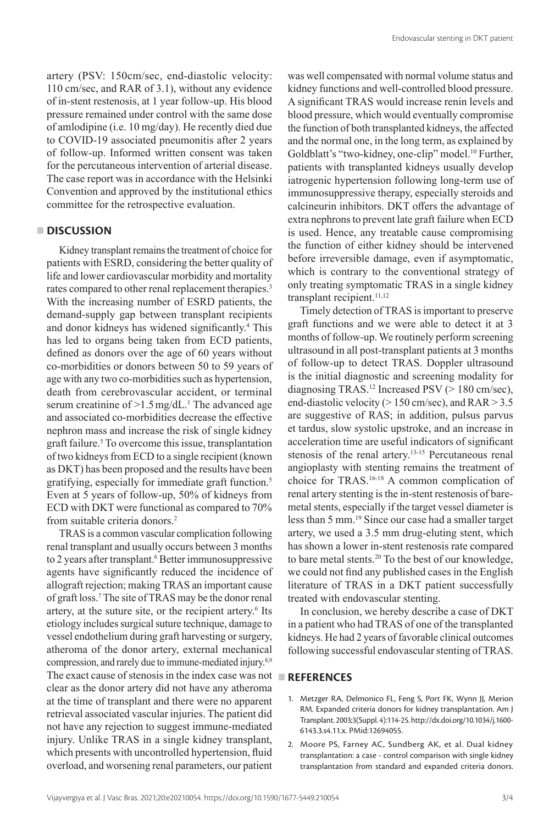artery (PSV: 150cm/sec, end-diastolic velocity: 110 cm/sec, and RAR of 3.1), without any evidence of in-stent restenosis, at 1 year follow-up. His blood pressure remained under control with the same dose of amlodipine (i.e. 10 mg/day). He recently died due to COVID-19 associated pneumonitis after 2 years of follow-up. Informed written consent was taken for the percutaneous intervention of arterial disease. The case report was in accordance with the Helsinki Convention and approved by the institutional ethics committee for the retrospective evaluation.

#### **DISCUSSION**

Kidney transplant remains the treatment of choice for patients with ESRD, considering the better quality of life and lower cardiovascular morbidity and mortality rates compared to other renal replacement therapies.<sup>3</sup> With the increasing number of ESRD patients, the demand-supply gap between transplant recipients and donor kidneys has widened significantly.<sup>4</sup> This has led to organs being taken from ECD patients, defined as donors over the age of 60 years without co-morbidities or donors between 50 to 59 years of age with any two co-morbidities such as hypertension, death from cerebrovascular accident, or terminal serum creatinine of  $>1.5 \text{ mg/dL}$ .<sup>1</sup> The advanced age and associated co-morbidities decrease the effective nephron mass and increase the risk of single kidney graft failure.<sup>5</sup> To overcome this issue, transplantation of two kidneys from ECD to a single recipient (known as DKT) has been proposed and the results have been gratifying, especially for immediate graft function.<sup>5</sup> Even at 5 years of follow-up, 50% of kidneys from ECD with DKT were functional as compared to 70% from suitable criteria donors.2

TRAS is a common vascular complication following renal transplant and usually occurs between 3 months to 2 years after transplant.<sup>6</sup> Better immunosuppressive agents have significantly reduced the incidence of allograft rejection; making TRAS an important cause of graft loss.7 The site of TRAS may be the donor renal artery, at the suture site, or the recipient artery.<sup>6</sup> Its etiology includes surgical suture technique, damage to vessel endothelium during graft harvesting or surgery, atheroma of the donor artery, external mechanical compression, and rarely due to immune-mediated injury.<sup>8,9</sup> The exact cause of stenosis in the index case was not **REFERENCES** clear as the donor artery did not have any atheroma at the time of transplant and there were no apparent retrieval associated vascular injuries. The patient did not have any rejection to suggest immune-mediated injury. Unlike TRAS in a single kidney transplant, which presents with uncontrolled hypertension, fluid overload, and worsening renal parameters, our patient

was well compensated with normal volume status and kidney functions and well-controlled blood pressure. A significant TRAS would increase renin levels and blood pressure, which would eventually compromise the function of both transplanted kidneys, the affected and the normal one, in the long term, as explained by Goldblatt's "two-kidney, one-clip" model.<sup>10</sup> Further, patients with transplanted kidneys usually develop iatrogenic hypertension following long-term use of immunosuppressive therapy, especially steroids and calcineurin inhibitors. DKT offers the advantage of extra nephrons to prevent late graft failure when ECD is used. Hence, any treatable cause compromising the function of either kidney should be intervened before irreversible damage, even if asymptomatic, which is contrary to the conventional strategy of only treating symptomatic TRAS in a single kidney transplant recipient.<sup>11,12</sup>

Timely detection of TRAS is important to preserve graft functions and we were able to detect it at 3 months of follow-up. We routinely perform screening ultrasound in all post-transplant patients at 3 months of follow-up to detect TRAS. Doppler ultrasound is the initial diagnostic and screening modality for diagnosing TRAS.<sup>12</sup> Increased PSV (> 180 cm/sec), end-diastolic velocity ( $> 150$  cm/sec), and RAR  $> 3.5$ are suggestive of RAS; in addition, pulsus parvus et tardus, slow systolic upstroke, and an increase in acceleration time are useful indicators of significant stenosis of the renal artery.13-15 Percutaneous renal angioplasty with stenting remains the treatment of choice for TRAS.16-18 A common complication of renal artery stenting is the in-stent restenosis of baremetal stents, especially if the target vessel diameter is less than 5 mm.19 Since our case had a smaller target artery, we used a 3.5 mm drug-eluting stent, which has shown a lower in-stent restenosis rate compared to bare metal stents.20 To the best of our knowledge, we could not find any published cases in the English literature of TRAS in a DKT patient successfully treated with endovascular stenting.

In conclusion, we hereby describe a case of DKT in a patient who had TRAS of one of the transplanted kidneys. He had 2 years of favorable clinical outcomes following successful endovascular stenting of TRAS.

- 1. Metzger RA, Delmonico FL, Feng S, Port FK, Wynn JJ, Merion RM. Expanded criteria donors for kidney transplantation. Am J Transplant. 2003;3(Suppl. 4):114-25. [http://dx.doi.org/10.1034/j.1600-](https://doi.org/10.1034/j.1600-6143.3.s4.11.x) [6143.3.s4.11.x](https://doi.org/10.1034/j.1600-6143.3.s4.11.x)[. PMid:12694055.](https://www.ncbi.nlm.nih.gov/entrez/query.fcgi?cmd=Retrieve&db=PubMed&list_uids=12694055&dopt=Abstract)
- 2. Moore PS, Farney AC, Sundberg AK, et al. Dual kidney transplantation: a case - control comparison with single kidney transplantation from standard and expanded criteria donors.